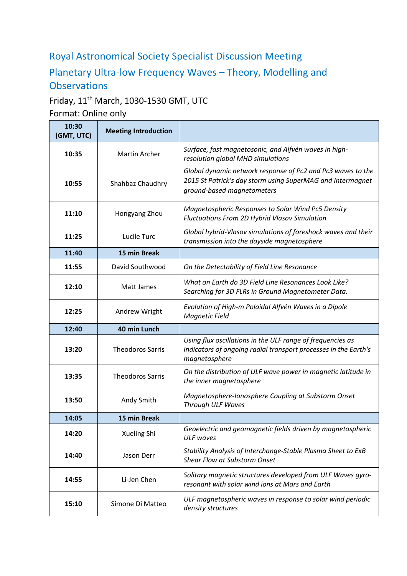# Royal Astronomical Society Specialist Discussion Meeting

# Planetary Ultra-low Frequency Waves – Theory, Modelling and **Observations**

# Friday, 11th March, 1030-1530 GMT, UTC

Format: Online only

| 10:30<br>(GMT, UTC) | <b>Meeting Introduction</b> |                                                                                                                                                         |
|---------------------|-----------------------------|---------------------------------------------------------------------------------------------------------------------------------------------------------|
| 10:35               | <b>Martin Archer</b>        | Surface, fast magnetosonic, and Alfvén waves in high-<br>resolution global MHD simulations                                                              |
| 10:55               | Shahbaz Chaudhry            | Global dynamic network response of Pc2 and Pc3 waves to the<br>2015 St Patrick's day storm using SuperMAG and Intermagnet<br>ground-based magnetometers |
| 11:10               | Hongyang Zhou               | Magnetospheric Responses to Solar Wind Pc5 Density<br>Fluctuations From 2D Hybrid Vlasov Simulation                                                     |
| 11:25               | Lucile Turc                 | Global hybrid-Vlasov simulations of foreshock waves and their<br>transmission into the dayside magnetosphere                                            |
| 11:40               | 15 min Break                |                                                                                                                                                         |
| 11:55               | David Southwood             | On the Detectability of Field Line Resonance                                                                                                            |
| 12:10               | Matt James                  | What on Earth do 3D Field Line Resonances Look Like?<br>Searching for 3D FLRs in Ground Magnetometer Data.                                              |
| 12:25               | Andrew Wright               | Evolution of High-m Poloidal Alfvén Waves in a Dipole<br><b>Magnetic Field</b>                                                                          |
| 12:40               | 40 min Lunch                |                                                                                                                                                         |
| 13:20               | <b>Theodoros Sarris</b>     | Using flux oscillations in the ULF range of frequencies as<br>indicators of ongoing radial transport processes in the Earth's<br>magnetosphere          |
| 13:35               | <b>Theodoros Sarris</b>     | On the distribution of ULF wave power in magnetic latitude in<br>the inner magnetosphere                                                                |
| 13:50               | Andy Smith                  | Magnetosphere-Ionosphere Coupling at Substorm Onset<br>Through ULF Waves                                                                                |
| 14:05               | 15 min Break                |                                                                                                                                                         |
| 14:20               | Xueling Shi                 | Geoelectric and geomagnetic fields driven by magnetospheric<br><b>ULF</b> waves                                                                         |
| 14:40               | Jason Derr                  | Stability Analysis of Interchange-Stable Plasma Sheet to ExB<br>Shear Flow at Substorm Onset                                                            |
| 14:55               | Li-Jen Chen                 | Solitary magnetic structures developed from ULF Waves gyro-<br>resonant with solar wind ions at Mars and Earth                                          |
| 15:10               | Simone Di Matteo            | ULF magnetospheric waves in response to solar wind periodic<br>density structures                                                                       |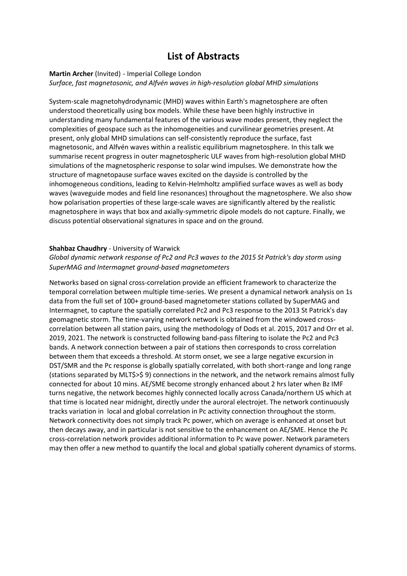# **List of Abstracts**

#### **Martin Archer** (Invited) - Imperial College London *Surface, fast magnetosonic, and Alfvén waves in high-resolution global MHD simulations*

System-scale magnetohydrodynamic (MHD) waves within Earth's magnetosphere are often understood theoretically using box models. While these have been highly instructive in understanding many fundamental features of the various wave modes present, they neglect the complexities of geospace such as the inhomogeneities and curvilinear geometries present. At present, only global MHD simulations can self-consistently reproduce the surface, fast magnetosonic, and Alfvén waves within a realistic equilibrium magnetosphere. In this talk we summarise recent progress in outer magnetospheric ULF waves from high-resolution global MHD simulations of the magnetospheric response to solar wind impulses. We demonstrate how the structure of magnetopause surface waves excited on the dayside is controlled by the inhomogeneous conditions, leading to Kelvin-Helmholtz amplified surface waves as well as body waves (waveguide modes and field line resonances) throughout the magnetosphere. We also show how polarisation properties of these large-scale waves are significantly altered by the realistic magnetosphere in ways that box and axially-symmetric dipole models do not capture. Finally, we discuss potential observational signatures in space and on the ground.

### **Shahbaz Chaudhry** - University of Warwick

### *Global dynamic network response of Pc2 and Pc3 waves to the 2015 St Patrick's day storm using SuperMAG and Intermagnet ground‐based magnetometers*

Networks based on signal cross-correlation provide an efficient framework to characterize the temporal correlation between multiple time-series. We present a dynamical network analysis on 1s data from the full set of 100+ ground-based magnetometer stations collated by SuperMAG and Intermagnet, to capture the spatially correlated Pc2 and Pc3 response to the 2013 St Patrick's day geomagnetic storm. The time-varying network network is obtained from the windowed crosscorrelation between all station pairs, using the methodology of Dods et al. 2015, 2017 and Orr et al. 2019, 2021. The network is constructed following band-pass filtering to isolate the Pc2 and Pc3 bands. A network connection between a pair of stations then corresponds to cross correlation between them that exceeds a threshold. At storm onset, we see a large negative excursion in DST/SMR and the Pc response is globally spatially correlated, with both short-range and long range (stations separated by MLT\$>\$ 9) connections in the network, and the network remains almost fully connected for about 10 mins. AE/SME become strongly enhanced about 2 hrs later when Bz IMF turns negative, the network becomes highly connected locally across Canada/northern US which at that time is located near midnight, directly under the auroral electrojet. The network continuously tracks variation in local and global correlation in Pc activity connection throughout the storm. Network connectivity does not simply track Pc power, which on average is enhanced at onset but then decays away, and in particular is not sensitive to the enhancement on AE/SME. Hence the Pc cross-correlation network provides additional information to Pc wave power. Network parameters may then offer a new method to quantify the local and global spatially coherent dynamics of storms.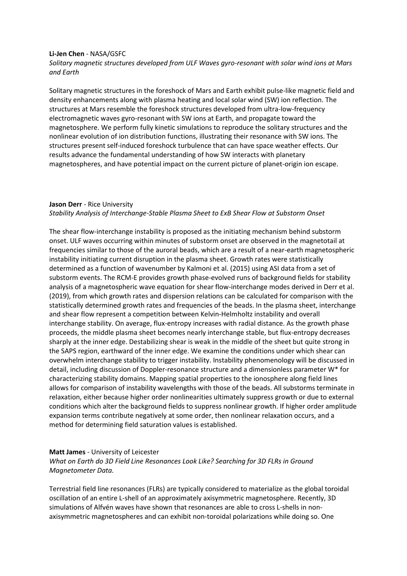#### **Li-Jen Chen** - NASA/GSFC

*Solitary magnetic structures developed from ULF Waves gyro-resonant with solar wind ions at Mars and Earth*

Solitary magnetic structures in the foreshock of Mars and Earth exhibit pulse-like magnetic field and density enhancements along with plasma heating and local solar wind (SW) ion reflection. The structures at Mars resemble the foreshock structures developed from ultra-low-frequency electromagnetic waves gyro-resonant with SW ions at Earth, and propagate toward the magnetosphere. We perform fully kinetic simulations to reproduce the solitary structures and the nonlinear evolution of ion distribution functions, illustrating their resonance with SW ions. The structures present self-induced foreshock turbulence that can have space weather effects. Our results advance the fundamental understanding of how SW interacts with planetary magnetospheres, and have potential impact on the current picture of planet-origin ion escape.

#### **Jason Derr** - Rice University *Stability Analysis of Interchange-Stable Plasma Sheet to ExB Shear Flow at Substorm Onset*

The shear flow-interchange instability is proposed as the initiating mechanism behind substorm onset. ULF waves occurring within minutes of substorm onset are observed in the magnetotail at frequencies similar to those of the auroral beads, which are a result of a near-earth magnetospheric instability initiating current disruption in the plasma sheet. Growth rates were statistically determined as a function of wavenumber by Kalmoni et al. (2015) using ASI data from a set of substorm events. The RCM-E provides growth phase-evolved runs of background fields for stability analysis of a magnetospheric wave equation for shear flow-interchange modes derived in Derr et al. (2019), from which growth rates and dispersion relations can be calculated for comparison with the statistically determined growth rates and frequencies of the beads. In the plasma sheet, interchange and shear flow represent a competition between Kelvin-Helmholtz instability and overall interchange stability. On average, flux-entropy increases with radial distance. As the growth phase proceeds, the middle plasma sheet becomes nearly interchange stable, but flux-entropy decreases sharply at the inner edge. Destabilizing shear is weak in the middle of the sheet but quite strong in the SAPS region, earthward of the inner edge. We examine the conditions under which shear can overwhelm interchange stability to trigger instability. Instability phenomenology will be discussed in detail, including discussion of Doppler-resonance structure and a dimensionless parameter W\* for characterizing stability domains. Mapping spatial properties to the ionosphere along field lines allows for comparison of instability wavelengths with those of the beads. All substorms terminate in relaxation, either because higher order nonlinearities ultimately suppress growth or due to external conditions which alter the background fields to suppress nonlinear growth. If higher order amplitude expansion terms contribute negatively at some order, then nonlinear relaxation occurs, and a method for determining field saturation values is established.

#### **Matt James** - University of Leicester

*What on Earth do 3D Field Line Resonances Look Like? Searching for 3D FLRs in Ground Magnetometer Data.*

Terrestrial field line resonances (FLRs) are typically considered to materialize as the global toroidal oscillation of an entire L-shell of an approximately axisymmetric magnetosphere. Recently, 3D simulations of Alfvén waves have shown that resonances are able to cross L-shells in nonaxisymmetric magnetospheres and can exhibit non-toroidal polarizations while doing so. One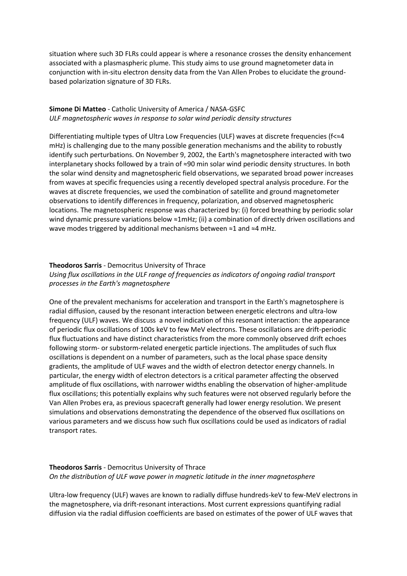situation where such 3D FLRs could appear is where a resonance crosses the density enhancement associated with a plasmaspheric plume. This study aims to use ground magnetometer data in conjunction with in-situ electron density data from the Van Allen Probes to elucidate the groundbased polarization signature of 3D FLRs.

### **Simone Di Matteo** - Catholic University of America / NASA-GSFC *ULF magnetospheric waves in response to solar wind periodic density structures*

Differentiating multiple types of Ultra Low Frequencies (ULF) waves at discrete frequencies ( $f \approx 4$ mHz) is challenging due to the many possible generation mechanisms and the ability to robustly identify such perturbations. On November 9, 2002, the Earth's magnetosphere interacted with two interplanetary shocks followed by a train of ≈90 min solar wind periodic density structures. In both the solar wind density and magnetospheric field observations, we separated broad power increases from waves at specific frequencies using a recently developed spectral analysis procedure. For the waves at discrete frequencies, we used the combination of satellite and ground magnetometer observations to identify differences in frequency, polarization, and observed magnetospheric locations. The magnetospheric response was characterized by: (i) forced breathing by periodic solar wind dynamic pressure variations below ≈1mHz; (ii) a combination of directly driven oscillations and wave modes triggered by additional mechanisms between ≈1 and ≈4 mHz.

#### **Theodoros Sarris** - Democritus University of Thrace

*Using flux oscillations in the ULF range of frequencies as indicators of ongoing radial transport processes in the Earth's magnetosphere* 

One of the prevalent mechanisms for acceleration and transport in the Earth's magnetosphere is radial diffusion, caused by the resonant interaction between energetic electrons and ultra-low frequency (ULF) waves. We discuss a novel indication of this resonant interaction: the appearance of periodic flux oscillations of 100s keV to few MeV electrons. These oscillations are drift-periodic flux fluctuations and have distinct characteristics from the more commonly observed drift echoes following storm- or substorm-related energetic particle injections. The amplitudes of such flux oscillations is dependent on a number of parameters, such as the local phase space density gradients, the amplitude of ULF waves and the width of electron detector energy channels. In particular, the energy width of electron detectors is a critical parameter affecting the observed amplitude of flux oscillations, with narrower widths enabling the observation of higher-amplitude flux oscillations; this potentially explains why such features were not observed regularly before the Van Allen Probes era, as previous spacecraft generally had lower energy resolution. We present simulations and observations demonstrating the dependence of the observed flux oscillations on various parameters and we discuss how such flux oscillations could be used as indicators of radial transport rates.

## **Theodoros Sarris** - Democritus University of Thrace *On the distribution of ULF wave power in magnetic latitude in the inner magnetosphere*

Ultra-low frequency (ULF) waves are known to radially diffuse hundreds-keV to few-MeV electrons in the magnetosphere, via drift-resonant interactions. Most current expressions quantifying radial diffusion via the radial diffusion coefficients are based on estimates of the power of ULF waves that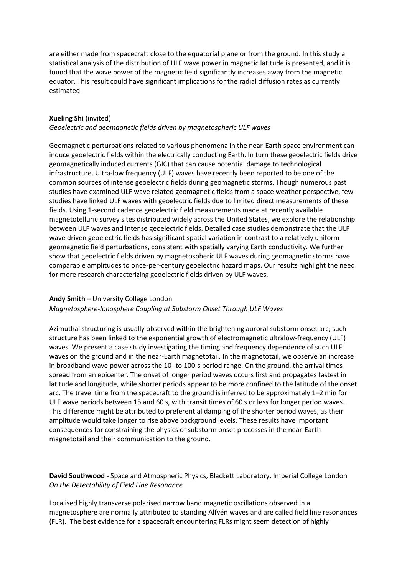are either made from spacecraft close to the equatorial plane or from the ground. In this study a statistical analysis of the distribution of ULF wave power in magnetic latitude is presented, and it is found that the wave power of the magnetic field significantly increases away from the magnetic equator. This result could have significant implications for the radial diffusion rates as currently estimated.

#### **Xueling Shi** (invited)

#### *Geoelectric and geomagnetic fields driven by magnetospheric ULF waves*

Geomagnetic perturbations related to various phenomena in the near-Earth space environment can induce geoelectric fields within the electrically conducting Earth. In turn these geoelectric fields drive geomagnetically induced currents (GIC) that can cause potential damage to technological infrastructure. Ultra-low frequency (ULF) waves have recently been reported to be one of the common sources of intense geoelectric fields during geomagnetic storms. Though numerous past studies have examined ULF wave related geomagnetic fields from a space weather perspective, few studies have linked ULF waves with geoelectric fields due to limited direct measurements of these fields. Using 1-second cadence geoelectric field measurements made at recently available magnetotelluric survey sites distributed widely across the United States, we explore the relationship between ULF waves and intense geoelectric fields. Detailed case studies demonstrate that the ULF wave driven geoelectric fields has significant spatial variation in contrast to a relatively uniform geomagnetic field perturbations, consistent with spatially varying Earth conductivity. We further show that geoelectric fields driven by magnetospheric ULF waves during geomagnetic storms have comparable amplitudes to once-per-century geoelectric hazard maps. Our results highlight the need for more research characterizing geoelectric fields driven by ULF waves.

#### **Andy Smith** – University College London

#### *Magnetosphere-Ionosphere Coupling at Substorm Onset Through ULF Waves*

Azimuthal structuring is usually observed within the brightening auroral substorm onset arc; such structure has been linked to the exponential growth of electromagnetic ultralow-frequency (ULF) waves. We present a case study investigating the timing and frequency dependence of such ULF waves on the ground and in the near-Earth magnetotail. In the magnetotail, we observe an increase in broadband wave power across the 10- to 100-s period range. On the ground, the arrival times spread from an epicenter. The onset of longer period waves occurs first and propagates fastest in latitude and longitude, while shorter periods appear to be more confined to the latitude of the onset arc. The travel time from the spacecraft to the ground is inferred to be approximately 1–2 min for ULF wave periods between 15 and 60 s, with transit times of 60 s or less for longer period waves. This difference might be attributed to preferential damping of the shorter period waves, as their amplitude would take longer to rise above background levels. These results have important consequences for constraining the physics of substorm onset processes in the near-Earth magnetotail and their communication to the ground.

**David Southwood** - Space and Atmospheric Physics, Blackett Laboratory, Imperial College London *On the Detectability of Field Line Resonance*

Localised highly transverse polarised narrow band magnetic oscillations observed in a magnetosphere are normally attributed to standing Alfvén waves and are called field line resonances (FLR). The best evidence for a spacecraft encountering FLRs might seem detection of highly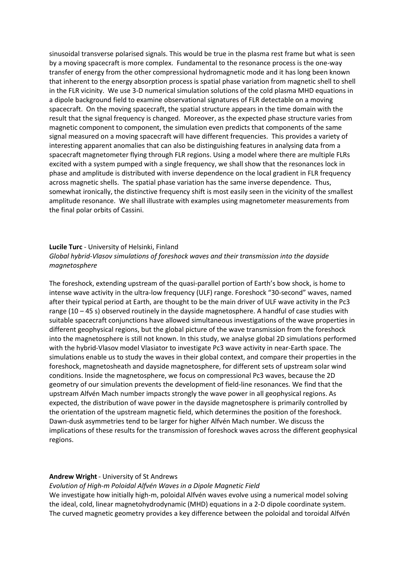sinusoidal transverse polarised signals. This would be true in the plasma rest frame but what is seen by a moving spacecraft is more complex. Fundamental to the resonance process is the one-way transfer of energy from the other compressional hydromagnetic mode and it has long been known that inherent to the energy absorption process is spatial phase variation from magnetic shell to shell in the FLR vicinity. We use 3-D numerical simulation solutions of the cold plasma MHD equations in a dipole background field to examine observational signatures of FLR detectable on a moving spacecraft. On the moving spacecraft, the spatial structure appears in the time domain with the result that the signal frequency is changed. Moreover, as the expected phase structure varies from magnetic component to component, the simulation even predicts that components of the same signal measured on a moving spacecraft will have different frequencies. This provides a variety of interesting apparent anomalies that can also be distinguishing features in analysing data from a spacecraft magnetometer flying through FLR regions. Using a model where there are multiple FLRs excited with a system pumped with a single frequency, we shall show that the resonances lock in phase and amplitude is distributed with inverse dependence on the local gradient in FLR frequency across magnetic shells. The spatial phase variation has the same inverse dependence. Thus, somewhat ironically, the distinctive frequency shift is most easily seen in the vicinity of the smallest amplitude resonance. We shall illustrate with examples using magnetometer measurements from the final polar orbits of Cassini.

#### **Lucile Turc** - University of Helsinki, Finland

*Global hybrid-Vlasov simulations of foreshock waves and their transmission into the dayside magnetosphere*

The foreshock, extending upstream of the quasi-parallel portion of Earth's bow shock, is home to intense wave activity in the ultra-low frequency (ULF) range. Foreshock "30-second" waves, named after their typical period at Earth, are thought to be the main driver of ULF wave activity in the Pc3 range (10 – 45 s) observed routinely in the dayside magnetosphere. A handful of case studies with suitable spacecraft conjunctions have allowed simultaneous investigations of the wave properties in different geophysical regions, but the global picture of the wave transmission from the foreshock into the magnetosphere is still not known. In this study, we analyse global 2D simulations performed with the hybrid-Vlasov model Vlasiator to investigate Pc3 wave activity in near-Earth space. The simulations enable us to study the waves in their global context, and compare their properties in the foreshock, magnetosheath and dayside magnetosphere, for different sets of upstream solar wind conditions. Inside the magnetosphere, we focus on compressional Pc3 waves, because the 2D geometry of our simulation prevents the development of field-line resonances. We find that the upstream Alfvén Mach number impacts strongly the wave power in all geophysical regions. As expected, the distribution of wave power in the dayside magnetosphere is primarily controlled by the orientation of the upstream magnetic field, which determines the position of the foreshock. Dawn-dusk asymmetries tend to be larger for higher Alfvén Mach number. We discuss the implications of these results for the transmission of foreshock waves across the different geophysical regions.

#### **Andrew Wright**- University of St Andrews

*Evolution of High-m Poloidal Alfvén Waves in a Dipole Magnetic Field*

We investigate how initially high-m, poloidal Alfvén waves evolve using a numerical model solving the ideal, cold, linear magnetohydrodynamic (MHD) equations in a 2-D dipole coordinate system. The curved magnetic geometry provides a key difference between the poloidal and toroidal Alfvén